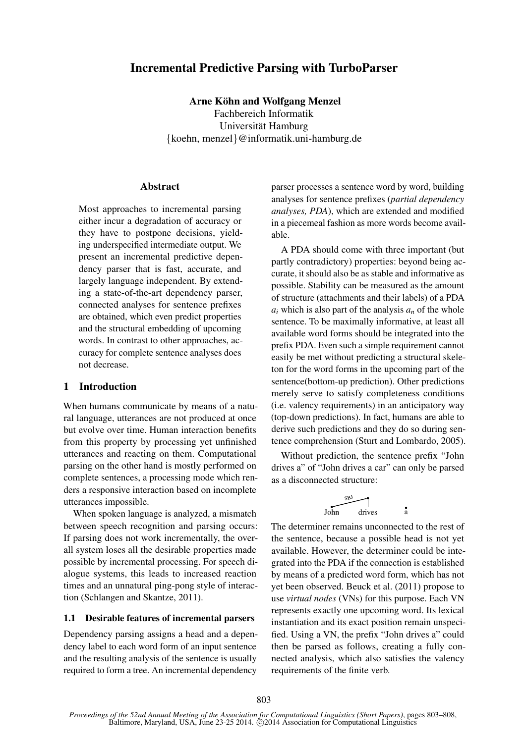# Incremental Predictive Parsing with TurboParser

Arne Köhn and Wolfgang Menzel Fachbereich Informatik Universität Hamburg {koehn, menzel}@informatik.uni-hamburg.de

# **Abstract**

Most approaches to incremental parsing either incur a degradation of accuracy or they have to postpone decisions, yielding underspecified intermediate output. We present an incremental predictive dependency parser that is fast, accurate, and largely language independent. By extending a state-of-the-art dependency parser, connected analyses for sentence prefixes are obtained, which even predict properties and the structural embedding of upcoming words. In contrast to other approaches, accuracy for complete sentence analyses does not decrease.

# 1 Introduction

When humans communicate by means of a natural language, utterances are not produced at once but evolve over time. Human interaction benefits from this property by processing yet unfinished utterances and reacting on them. Computational parsing on the other hand is mostly performed on complete sentences, a processing mode which renders a responsive interaction based on incomplete utterances impossible.

When spoken language is analyzed, a mismatch between speech recognition and parsing occurs: If parsing does not work incrementally, the overall system loses all the desirable properties made possible by incremental processing. For speech dialogue systems, this leads to increased reaction times and an unnatural ping-pong style of interaction (Schlangen and Skantze, 2011).

#### 1.1 Desirable features of incremental parsers

Dependency parsing assigns a head and a dependency label to each word form of an input sentence and the resulting analysis of the sentence is usually required to form a tree. An incremental dependency parser processes a sentence word by word, building analyses for sentence prefixes (*partial dependency analyses, PDA*), which are extended and modified in a piecemeal fashion as more words become available.

A PDA should come with three important (but partly contradictory) properties: beyond being accurate, it should also be as stable and informative as possible. Stability can be measured as the amount of structure (attachments and their labels) of a PDA  $a_i$  which is also part of the analysis  $a_n$  of the whole sentence. To be maximally informative, at least all available word forms should be integrated into the prefix PDA. Even such a simple requirement cannot easily be met without predicting a structural skeleton for the word forms in the upcoming part of the sentence(bottom-up prediction). Other predictions merely serve to satisfy completeness conditions (i.e. valency requirements) in an anticipatory way (top-down predictions). In fact, humans are able to derive such predictions and they do so during sentence comprehension (Sturt and Lombardo, 2005).

Without prediction, the sentence prefix "John drives a" of "John drives a car" can only be parsed as a disconnected structure:

$$
\begin{array}{c}\n\stackrel{\text{SB}}{\overbrace{\smash{\big)}\text{.}}}\n\end{array}
$$
\nJohn

\ndrives

The determiner remains unconnected to the rest of the sentence, because a possible head is not yet available. However, the determiner could be integrated into the PDA if the connection is established by means of a predicted word form, which has not yet been observed. Beuck et al. (2011) propose to use *virtual nodes* (VNs) for this purpose. Each VN represents exactly one upcoming word. Its lexical instantiation and its exact position remain unspecified. Using a VN, the prefix "John drives a" could then be parsed as follows, creating a fully connected analysis, which also satisfies the valency requirements of the finite verb.

*Proceedings of the 52nd Annual Meeting of the Association for Computational Linguistics (Short Papers)*, pages 803–808, Baltimore, Maryland, USA, June 23-25 2014. @2014 Association for Computational Linguistics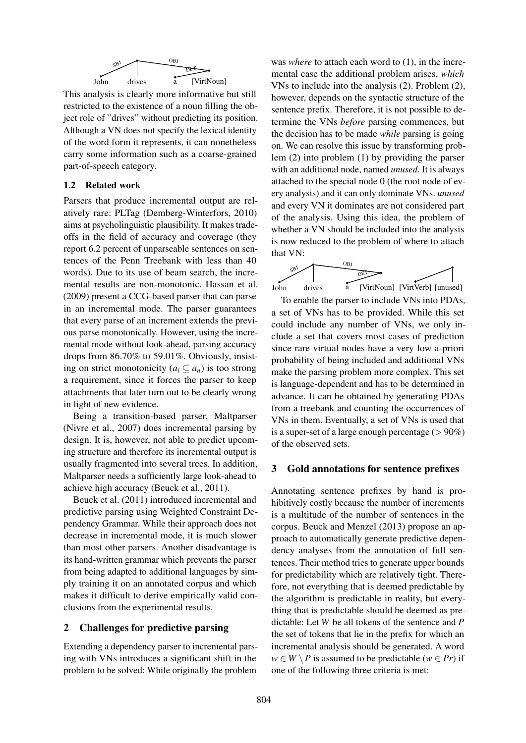

This analysis is clearly more informative but still restricted to the existence of a noun filling the object role of "drives" without predicting its position. Although a VN does not specify the lexical identity of the word form it represents, it can nonetheless carry some information such as a coarse-grained part-of-speech category.

### 1.2 Related work

Parsers that produce incremental output are relatively rare: PLTag (Demberg-Winterfors, 2010) aims at psycholinguistic plausibility. It makes tradeoffs in the field of accuracy and coverage (they report 6.2 percent of unparseable sentences on sentences of the Penn Treebank with less than 40 words). Due to its use of beam search, the incremental results are non-monotonic. Hassan et al. (2009) present a CCG-based parser that can parse in an incremental mode. The parser guarantees that every parse of an increment extends the previous parse monotonically. However, using the incremental mode without look-ahead, parsing accuracy drops from 86.70% to 59.01%. Obviously, insisting on strict monotonicity  $(a_i \subseteq a_n)$  is too strong a requirement, since it forces the parser to keep attachments that later turn out to be clearly wrong in light of new evidence.

Being a transition-based parser, Maltparser (Nivre et al., 2007) does incremental parsing by design. It is, however, not able to predict upcoming structure and therefore its incremental output is usually fragmented into several trees. In addition, Maltparser needs a sufficiently large look-ahead to achieve high accuracy (Beuck et al., 2011).

Beuck et al. (2011) introduced incremental and predictive parsing using Weighted Constraint Dependency Grammar. While their approach does not decrease in incremental mode, it is much slower than most other parsers. Another disadvantage is its hand-written grammar which prevents the parser from being adapted to additional languages by simply training it on an annotated corpus and which makes it difficult to derive empirically valid conclusions from the experimental results.

### 2 Challenges for predictive parsing

Extending a dependency parser to incremental parsing with VNs introduces a significant shift in the problem to be solved: While originally the problem was *where* to attach each word to (1), in the incremental case the additional problem arises, *which* VNs to include into the analysis (2). Problem (2), however, depends on the syntactic structure of the sentence prefix. Therefore, it is not possible to determine the VNs *before* parsing commences, but the decision has to be made *while* parsing is going on. We can resolve this issue by transforming problem (2) into problem (1) by providing the parser with an additional node, named *unused*. It is always attached to the special node 0 (the root node of every analysis) and it can only dominate VNs. *unused* and every VN it dominates are not considered part of the analysis. Using this idea, the problem of whether a VN should be included into the analysis is now reduced to the problem of where to attach that VN:



To enable the parser to include VNs into PDAs, a set of VNs has to be provided. While this set could include any number of VNs, we only include a set that covers most cases of prediction since rare virtual nodes have a very low a-priori probability of being included and additional VNs make the parsing problem more complex. This set is language-dependent and has to be determined in advance. It can be obtained by generating PDAs from a treebank and counting the occurrences of VNs in them. Eventually, a set of VNs is used that is a super-set of a large enough percentage  $(>90\%)$ of the observed sets.

#### 3 Gold annotations for sentence prefixes

Annotating sentence prefixes by hand is prohibitively costly because the number of increments is a multitude of the number of sentences in the corpus. Beuck and Menzel (2013) propose an approach to automatically generate predictive dependency analyses from the annotation of full sentences. Their method tries to generate upper bounds for predictability which are relatively tight. Therefore, not everything that is deemed predictable by the algorithm is predictable in reality, but everything that is predictable should be deemed as predictable: Let *W* be all tokens of the sentence and *P* the set of tokens that lie in the prefix for which an incremental analysis should be generated. A word  $w \in W \setminus P$  is assumed to be predictable ( $w \in Pr$ ) if one of the following three criteria is met: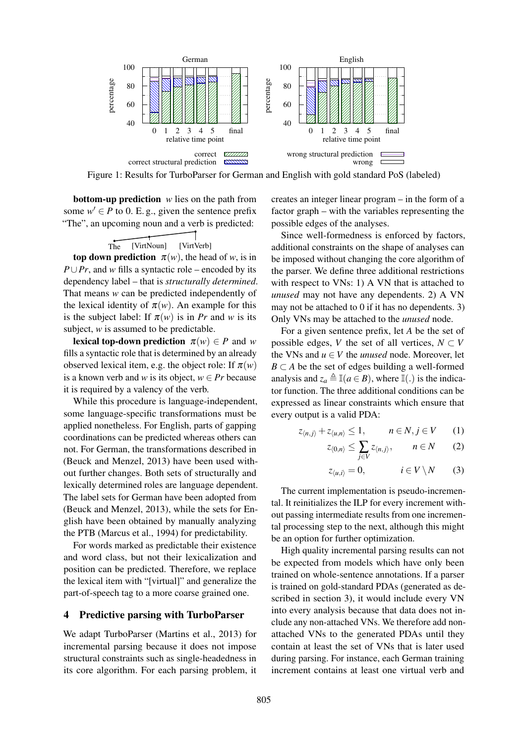

Figure 1: Results for TurboParser for German and English with gold standard PoS (labeled)

**bottom-up prediction** *w* lies on the path from some  $w' \in P$  to 0. E. g., given the sentence prefix "The", an upcoming noun and a verb is predicted:

The [VirtNoun] [VirtVerb]

top down prediction  $\pi(w)$ , the head of *w*, is in *P*∪*Pr*, and *w* fills a syntactic role – encoded by its dependency label – that is *structurally determined*. That means *w* can be predicted independently of the lexical identity of  $\pi(w)$ . An example for this is the subject label: If  $\pi(w)$  is in *Pr* and *w* is its subject, *w* is assumed to be predictable.

**lexical top-down prediction**  $\pi(w) \in P$  and *w* fills a syntactic role that is determined by an already observed lexical item, e.g. the object role: If  $\pi(w)$ is a known verb and *w* is its object,  $w \in Pr$  because it is required by a valency of the verb.

While this procedure is language-independent, some language-specific transformations must be applied nonetheless. For English, parts of gapping coordinations can be predicted whereas others can not. For German, the transformations described in (Beuck and Menzel, 2013) have been used without further changes. Both sets of structurally and lexically determined roles are language dependent. The label sets for German have been adopted from (Beuck and Menzel, 2013), while the sets for English have been obtained by manually analyzing the PTB (Marcus et al., 1994) for predictability.

For words marked as predictable their existence and word class, but not their lexicalization and position can be predicted. Therefore, we replace the lexical item with "[virtual]" and generalize the part-of-speech tag to a more coarse grained one.

### 4 Predictive parsing with TurboParser

We adapt TurboParser (Martins et al., 2013) for incremental parsing because it does not impose structural constraints such as single-headedness in its core algorithm. For each parsing problem, it creates an integer linear program – in the form of a factor graph – with the variables representing the possible edges of the analyses.

Since well-formedness is enforced by factors, additional constraints on the shape of analyses can be imposed without changing the core algorithm of the parser. We define three additional restrictions with respect to VNs: 1) A VN that is attached to *unused* may not have any dependents. 2) A VN may not be attached to 0 if it has no dependents. 3) Only VNs may be attached to the *unused* node.

For a given sentence prefix, let *A* be the set of possible edges, *V* the set of all vertices,  $N \subset V$ the VNs and  $u \in V$  the *unused* node. Moreover, let  $B \subset A$  be the set of edges building a well-formed analysis and  $z_a \triangleq \mathbb{I}(a \in B)$ , where  $\mathbb{I}(.)$  is the indicator function. The three additional conditions can be expressed as linear constraints which ensure that every output is a valid PDA:

$$
z_{\langle n,j\rangle} + z_{\langle u,n\rangle} \le 1, \qquad n \in N, j \in V \qquad (1)
$$

$$
z_{\langle 0,n\rangle}\leq \sum_{j\in V} z_{\langle n,j\rangle},\qquad n\in N\qquad (2)
$$

$$
z_{\langle u,i\rangle} = 0, \qquad i \in V \setminus N \qquad (3)
$$

The current implementation is pseudo-incremental. It reinitializes the ILP for every increment without passing intermediate results from one incremental processing step to the next, although this might be an option for further optimization.

High quality incremental parsing results can not be expected from models which have only been trained on whole-sentence annotations. If a parser is trained on gold-standard PDAs (generated as described in section 3), it would include every VN into every analysis because that data does not include any non-attached VNs. We therefore add nonattached VNs to the generated PDAs until they contain at least the set of VNs that is later used during parsing. For instance, each German training increment contains at least one virtual verb and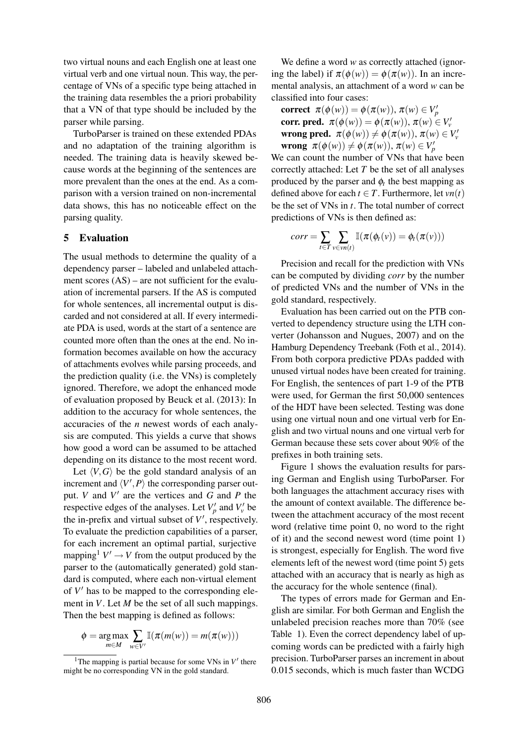two virtual nouns and each English one at least one virtual verb and one virtual noun. This way, the percentage of VNs of a specific type being attached in the training data resembles the a priori probability that a VN of that type should be included by the parser while parsing.

TurboParser is trained on these extended PDAs and no adaptation of the training algorithm is needed. The training data is heavily skewed because words at the beginning of the sentences are more prevalent than the ones at the end. As a comparison with a version trained on non-incremental data shows, this has no noticeable effect on the parsing quality.

# 5 Evaluation

The usual methods to determine the quality of a dependency parser – labeled and unlabeled attachment scores  $(AS)$  – are not sufficient for the evaluation of incremental parsers. If the AS is computed for whole sentences, all incremental output is discarded and not considered at all. If every intermediate PDA is used, words at the start of a sentence are counted more often than the ones at the end. No information becomes available on how the accuracy of attachments evolves while parsing proceeds, and the prediction quality (i.e. the VNs) is completely ignored. Therefore, we adopt the enhanced mode of evaluation proposed by Beuck et al. (2013): In addition to the accuracy for whole sentences, the accuracies of the *n* newest words of each analysis are computed. This yields a curve that shows how good a word can be assumed to be attached depending on its distance to the most recent word.

Let  $\langle V, G \rangle$  be the gold standard analysis of an increment and  $\langle V', P \rangle$  the corresponding parser output. *V* and  $V'$  are the vertices and  $G$  and  $P$  the respective edges of the analyses. Let  $V_p'$  and  $V_v'$  be the in-prefix and virtual subset of  $V'$ , respectively. To evaluate the prediction capabilities of a parser, for each increment an optimal partial, surjective mapping<sup>1</sup>  $V' \rightarrow V$  from the output produced by the parser to the (automatically generated) gold standard is computed, where each non-virtual element of  $V'$  has to be mapped to the corresponding element in *V*. Let *M* be the set of all such mappings. Then the best mapping is defined as follows:

$$
\phi = \underset{m \in M}{\arg \max} \sum_{w \in V'} \mathbb{I}(\pi(m(w)) = m(\pi(w)))
$$

We define a word *w* as correctly attached (ignoring the label) if  $\pi(\phi(w)) = \phi(\pi(w))$ . In an incremental analysis, an attachment of a word *w* can be classified into four cases:

correct  $\pi(\phi(w)) = \phi(\pi(w)), \pi(w) \in V'_p$ corr. pred.  $\pi(\phi(w)) = \phi(\pi(w)), \pi(w) \in V_v'$ wrong pred.  $\pi(\phi(w)) \neq \phi(\pi(w)), \pi(w) \in V_v'$ **wrong**  $\pi(\phi(w)) \neq \phi(\pi(w)), \pi(w) \in V'_p$ 

We can count the number of VNs that have been correctly attached: Let *T* be the set of all analyses produced by the parser and  $\phi_t$  the best mapping as defined above for each  $t \in T$ . Furthermore, let  $vn(t)$ be the set of VNs in *t*. The total number of correct predictions of VNs is then defined as:

$$
corr = \sum_{t \in T} \sum_{v \in vn(t)} \mathbb{I}(\pi(\phi_t(v)) = \phi_t(\pi(v)))
$$

Precision and recall for the prediction with VNs can be computed by dividing *corr* by the number of predicted VNs and the number of VNs in the gold standard, respectively.

Evaluation has been carried out on the PTB converted to dependency structure using the LTH converter (Johansson and Nugues, 2007) and on the Hamburg Dependency Treebank (Foth et al., 2014). From both corpora predictive PDAs padded with unused virtual nodes have been created for training. For English, the sentences of part 1-9 of the PTB were used, for German the first 50,000 sentences of the HDT have been selected. Testing was done using one virtual noun and one virtual verb for English and two virtual nouns and one virtual verb for German because these sets cover about 90% of the prefixes in both training sets.

Figure 1 shows the evaluation results for parsing German and English using TurboParser. For both languages the attachment accuracy rises with the amount of context available. The difference between the attachment accuracy of the most recent word (relative time point 0, no word to the right of it) and the second newest word (time point 1) is strongest, especially for English. The word five elements left of the newest word (time point 5) gets attached with an accuracy that is nearly as high as the accuracy for the whole sentence (final).

The types of errors made for German and English are similar. For both German and English the unlabeled precision reaches more than 70% (see Table 1). Even the correct dependency label of upcoming words can be predicted with a fairly high precision. TurboParser parses an increment in about 0.015 seconds, which is much faster than WCDG

<sup>&</sup>lt;sup>1</sup>The mapping is partial because for some VNs in  $V'$  there might be no corresponding VN in the gold standard.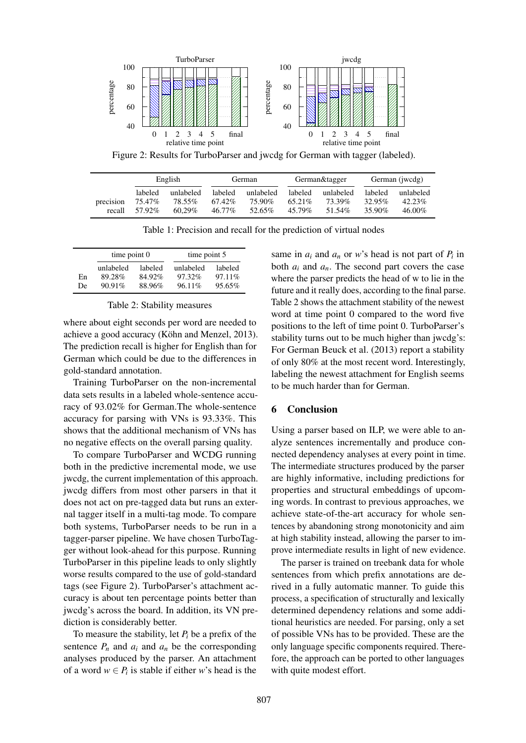

Figure 2: Results for TurboParser and jwcdg for German with tagger (labeled).

|           | English |           | German  |           | German&tagger |           | German (jwcdg) |           |
|-----------|---------|-----------|---------|-----------|---------------|-----------|----------------|-----------|
|           | labeled | unlabeled | labeled | unlabeled | labeled       | unlabeled | labeled        | unlabeled |
| precision | 75.47%  | 78.55%    | 67.42%  | 75.90%    | 65.21\%       | 73.39%    | 32.95%         | $42.23\%$ |
| recall    | 57.92%  | $60.29\%$ | 46.77%  | 52.65%    | 45.79%        | 51.54%    | 35.90%         | 46.00%    |

Table 1: Precision and recall for the prediction of virtual nodes

|          | time point $0$                   |                             | time point 5                  |                              |  |
|----------|----------------------------------|-----------------------------|-------------------------------|------------------------------|--|
| En<br>De | unlabeled<br>89.28%<br>$90.91\%$ | labeled<br>84.92%<br>88.96% | unlabeled<br>97.32%<br>96.11% | labeled<br>97.11\%<br>95.65% |  |

### Table 2: Stability measures

where about eight seconds per word are needed to achieve a good accuracy (Köhn and Menzel, 2013). The prediction recall is higher for English than for German which could be due to the differences in gold-standard annotation.

Training TurboParser on the non-incremental data sets results in a labeled whole-sentence accuracy of 93.02% for German.The whole-sentence accuracy for parsing with VNs is 93.33%. This shows that the additional mechanism of VNs has no negative effects on the overall parsing quality.

To compare TurboParser and WCDG running both in the predictive incremental mode, we use jwcdg, the current implementation of this approach. jwcdg differs from most other parsers in that it does not act on pre-tagged data but runs an external tagger itself in a multi-tag mode. To compare both systems, TurboParser needs to be run in a tagger-parser pipeline. We have chosen TurboTagger without look-ahead for this purpose. Running TurboParser in this pipeline leads to only slightly worse results compared to the use of gold-standard tags (see Figure 2). TurboParser's attachment accuracy is about ten percentage points better than jwcdg's across the board. In addition, its VN prediction is considerably better.

To measure the stability, let  $P_i$  be a prefix of the sentence  $P_n$  and  $a_i$  and  $a_n$  be the corresponding analyses produced by the parser. An attachment of a word  $w \in P_i$  is stable if either *w*'s head is the

same in  $a_i$  and  $a_n$  or *w*'s head is not part of  $P_i$  in both  $a_i$  and  $a_n$ . The second part covers the case where the parser predicts the head of w to lie in the future and it really does, according to the final parse. Table 2 shows the attachment stability of the newest word at time point 0 compared to the word five positions to the left of time point 0. TurboParser's stability turns out to be much higher than jwcdg's: For German Beuck et al. (2013) report a stability of only 80% at the most recent word. Interestingly, labeling the newest attachment for English seems to be much harder than for German.

# 6 Conclusion

Using a parser based on ILP, we were able to analyze sentences incrementally and produce connected dependency analyses at every point in time. The intermediate structures produced by the parser are highly informative, including predictions for properties and structural embeddings of upcoming words. In contrast to previous approaches, we achieve state-of-the-art accuracy for whole sentences by abandoning strong monotonicity and aim at high stability instead, allowing the parser to improve intermediate results in light of new evidence.

The parser is trained on treebank data for whole sentences from which prefix annotations are derived in a fully automatic manner. To guide this process, a specification of structurally and lexically determined dependency relations and some additional heuristics are needed. For parsing, only a set of possible VNs has to be provided. These are the only language specific components required. Therefore, the approach can be ported to other languages with quite modest effort.